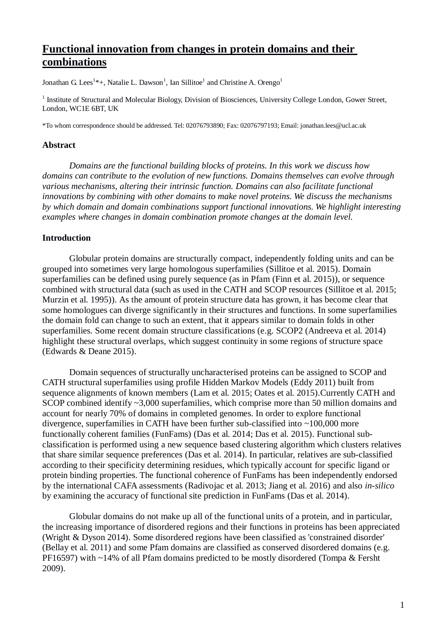# **Functional innovation from changes in protein domains and their combinations**

Jonathan G. Lees<sup>1\*</sup>+, Natalie L. Dawson<sup>1</sup>, Ian Sillitoe<sup>1</sup> and Christine A. Orengo<sup>1</sup>

<sup>1</sup> Institute of Structural and Molecular Biology, Division of Biosciences, University College London, Gower Street, London, WC1E 6BT, UK

\*To whom correspondence should be addressed. Tel: 02076793890; Fax: 02076797193; Email: jonathan.lees@ucl.ac.uk

#### **Abstract**

*Domains are the functional building blocks of proteins. In this work we discuss how domains can contribute to the evolution of new functions. Domains themselves can evolve through various mechanisms, altering their intrinsic function. Domains can also facilitate functional innovations by combining with other domains to make novel proteins. We discuss the mechanisms by which domain and domain combinations support functional innovations. We highlight interesting examples where changes in domain combination promote changes at the domain level.*

## **Introduction**

Globular protein domains are structurally compact, independently folding units and can be grouped into sometimes very large homologous superfamilies (Sillitoe et al. 2015). Domain superfamilies can be defined using purely sequence (as in Pfam (Finn et al. 2015)), or sequence combined with structural data (such as used in the CATH and SCOP resources (Sillitoe et al. 2015; Murzin et al. 1995)). As the amount of protein structure data has grown, it has become clear that some homologues can diverge significantly in their structures and functions. In some superfamilies the domain fold can change to such an extent, that it appears similar to domain folds in other superfamilies. Some recent domain structure classifications (e.g. SCOP2 (Andreeva et al. 2014) highlight these structural overlaps, which suggest continuity in some regions of structure space (Edwards & Deane 2015).

Domain sequences of structurally uncharacterised proteins can be assigned to SCOP and CATH structural superfamilies using profile Hidden Markov Models (Eddy 2011) built from sequence alignments of known members (Lam et al. 2015; Oates et al. 2015).Currently CATH and SCOP combined identify ~3,000 superfamilies, which comprise more than 50 million domains and account for nearly 70% of domains in completed genomes. In order to explore functional divergence, superfamilies in CATH have been further sub-classified into ~100,000 more functionally coherent families (FunFams) (Das et al. 2014; Das et al. 2015). Functional subclassification is performed using a new sequence based clustering algorithm which clusters relatives that share similar sequence preferences (Das et al. 2014). In particular, relatives are sub-classified according to their specificity determining residues, which typically account for specific ligand or protein binding properties. The functional coherence of FunFams has been independently endorsed by the international CAFA assessments (Radivojac et al. 2013; Jiang et al. 2016) and also *in-silico* by examining the accuracy of functional site prediction in FunFams (Das et al. 2014).

Globular domains do not make up all of the functional units of a protein, and in particular, the increasing importance of disordered regions and their functions in proteins has been appreciated (Wright & Dyson 2014). Some disordered regions have been classified as 'constrained disorder' (Bellay et al. 2011) and some Pfam domains are classified as conserved disordered domains (e.g. PF16597) with ~14% of all Pfam domains predicted to be mostly disordered (Tompa & Fersht 2009).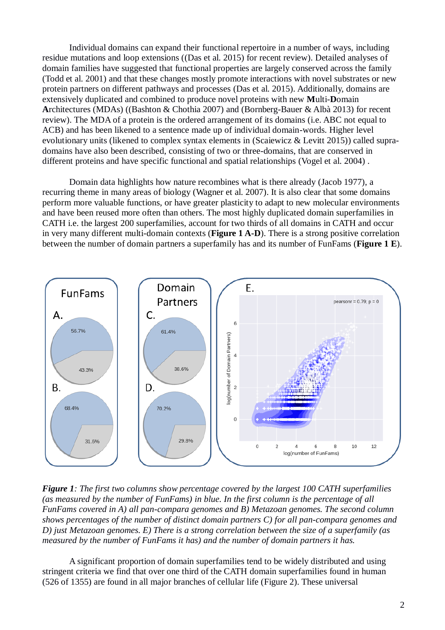Individual domains can expand their functional repertoire in a number of ways, including residue mutations and loop extensions ((Das et al. 2015) for recent review). Detailed analyses of domain families have suggested that functional properties are largely conserved across the family (Todd et al. 2001) and that these changes mostly promote interactions with novel substrates or new protein partners on different pathways and processes (Das et al. 2015). Additionally, domains are extensively duplicated and combined to produce novel proteins with new **M**ulti-**D**omain **A**rchitectures (MDAs) ((Bashton & Chothia 2007) and (Bornberg-Bauer & Albà 2013) for recent review). The MDA of a protein is the ordered arrangement of its domains (i.e. ABC not equal to ACB) and has been likened to a sentence made up of individual domain-words. Higher level evolutionary units (likened to complex syntax elements in (Scaiewicz & Levitt 2015)) called supradomains have also been described, consisting of two or three-domains, that are conserved in different proteins and have specific functional and spatial relationships (Vogel et al. 2004) .

Domain data highlights how nature recombines what is there already (Jacob 1977), a recurring theme in many areas of biology (Wagner et al. 2007). It is also clear that some domains perform more valuable functions, or have greater plasticity to adapt to new molecular environments and have been reused more often than others. The most highly duplicated domain superfamilies in CATH i.e. the largest 200 superfamilies, account for two thirds of all domains in CATH and occur in very many different multi-domain contexts (**Figure 1 A-D**). There is a strong positive correlation between the number of domain partners a superfamily has and its number of FunFams (**Figure 1 E**).



*Figure 1: The first two columns show percentage covered by the largest 100 CATH superfamilies (as measured by the number of FunFams) in blue. In the first column is the percentage of all FunFams covered in A) all pan-compara genomes and B) Metazoan genomes. The second column shows percentages of the number of distinct domain partners C) for all pan-compara genomes and D) just Metazoan genomes. E) There is a strong correlation between the size of a superfamily (as measured by the number of FunFams it has) and the number of domain partners it has.*

A significant proportion of domain superfamilies tend to be widely distributed and using stringent criteria we find that over one third of the CATH domain superfamilies found in human (526 of 1355) are found in all major branches of cellular life (Figure 2). These universal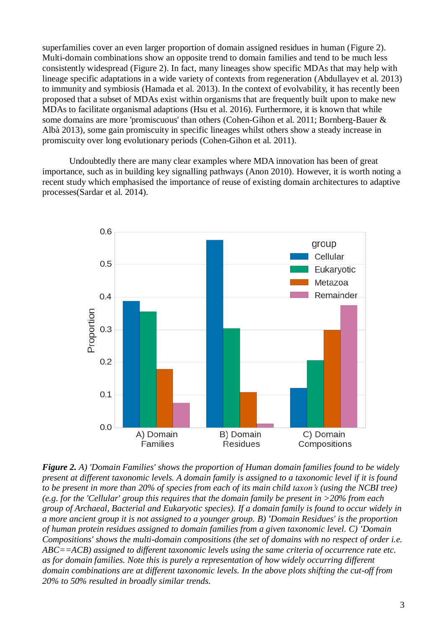superfamilies cover an even larger proportion of domain assigned residues in human (Figure 2). Multi-domain combinations show an opposite trend to domain families and tend to be much less consistently widespread (Figure 2). In fact, many lineages show specific MDAs that may help with lineage specific adaptations in a wide variety of contexts from regeneration (Abdullayev et al. 2013) to immunity and symbiosis (Hamada et al. 2013). In the context of evolvability, it has recently been proposed that a subset of MDAs exist within organisms that are frequently built upon to make new MDAs to facilitate organismal adaptions (Hsu et al. 2016). Furthermore, it is known that while some domains are more 'promiscuous' than others (Cohen-Gihon et al. 2011; Bornberg-Bauer & Albà 2013), some gain promiscuity in specific lineages whilst others show a steady increase in promiscuity over long evolutionary periods (Cohen-Gihon et al. 2011).

Undoubtedly there are many clear examples where MDA innovation has been of great importance, such as in building key signalling pathways (Anon 2010). However, it is worth noting a recent study which emphasised the importance of reuse of existing domain architectures to adaptive processes(Sardar et al. 2014).



*Figure 2. A) 'Domain Families' shows the proportion of Human domain families found to be widely present at different taxonomic levels. A domain family is assigned to a taxonomic level if it is found to be present in more than 20% of species from each of its main child taxon's (using the NCBI tree) (e.g. for the 'Cellular' group this requires that the domain family be present in >20% from each group of Archaeal, Bacterial and Eukaryotic species). If a domain family is found to occur widely in a more ancient group it is not assigned to a younger group. B) 'Domain Residues' is the proportion of human protein residues assigned to domain families from a given taxonomic level. C) 'Domain Compositions' shows the multi-domain compositions (the set of domains with no respect of order i.e. ABC==ACB) assigned to different taxonomic levels using the same criteria of occurrence rate etc. as for domain families. Note this is purely a representation of how widely occurring different domain combinations are at different taxonomic levels. In the above plots shifting the cut-off from 20% to 50% resulted in broadly similar trends.*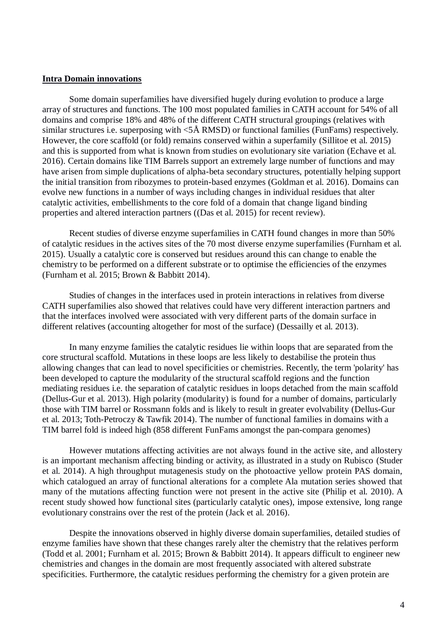#### **Intra Domain innovations**

Some domain superfamilies have diversified hugely during evolution to produce a large array of structures and functions. The 100 most populated families in CATH account for 54% of all domains and comprise 18% and 48% of the different CATH structural groupings (relatives with similar structures i.e. superposing with  $\langle 5 \text{ Å RMSD} \rangle$  or functional families (FunFams) respectively. However, the core scaffold (or fold) remains conserved within a superfamily (Sillitoe et al. 2015) and this is supported from what is known from studies on evolutionary site variation (Echave et al. 2016). Certain domains like TIM Barrels support an extremely large number of functions and may have arisen from simple duplications of alpha-beta secondary structures, potentially helping support the initial transition from ribozymes to protein-based enzymes (Goldman et al. 2016). Domains can evolve new functions in a number of ways including changes in individual residues that alter catalytic activities, embellishments to the core fold of a domain that change ligand binding properties and altered interaction partners ((Das et al. 2015) for recent review).

Recent studies of diverse enzyme superfamilies in CATH found changes in more than 50% of catalytic residues in the actives sites of the 70 most diverse enzyme superfamilies (Furnham et al. 2015). Usually a catalytic core is conserved but residues around this can change to enable the chemistry to be performed on a different substrate or to optimise the efficiencies of the enzymes (Furnham et al. 2015; Brown & Babbitt 2014).

Studies of changes in the interfaces used in protein interactions in relatives from diverse CATH superfamilies also showed that relatives could have very different interaction partners and that the interfaces involved were associated with very different parts of the domain surface in different relatives (accounting altogether for most of the surface) (Dessailly et al. 2013).

In many enzyme families the catalytic residues lie within loops that are separated from the core structural scaffold. Mutations in these loops are less likely to destabilise the protein thus allowing changes that can lead to novel specificities or chemistries. Recently, the term 'polarity' has been developed to capture the modularity of the structural scaffold regions and the function mediating residues i.e. the separation of catalytic residues in loops detached from the main scaffold (Dellus-Gur et al. 2013). High polarity (modularity) is found for a number of domains, particularly those with TIM barrel or Rossmann folds and is likely to result in greater evolvability (Dellus-Gur et al. 2013; Toth-Petroczy & Tawfik 2014). The number of functional families in domains with a TIM barrel fold is indeed high (858 different FunFams amongst the pan-compara genomes)

However mutations affecting activities are not always found in the active site, and allostery is an important mechanism affecting binding or activity, as illustrated in a study on Rubisco (Studer et al. 2014). A high throughput mutagenesis study on the photoactive yellow protein PAS domain, which catalogued an array of functional alterations for a complete Ala mutation series showed that many of the mutations affecting function were not present in the active site (Philip et al. 2010). A recent study showed how functional sites (particularly catalytic ones), impose extensive, long range evolutionary constrains over the rest of the protein (Jack et al. 2016).

Despite the innovations observed in highly diverse domain superfamilies, detailed studies of enzyme families have shown that these changes rarely alter the chemistry that the relatives perform (Todd et al. 2001; Furnham et al. 2015; Brown & Babbitt 2014). It appears difficult to engineer new chemistries and changes in the domain are most frequently associated with altered substrate specificities. Furthermore, the catalytic residues performing the chemistry for a given protein are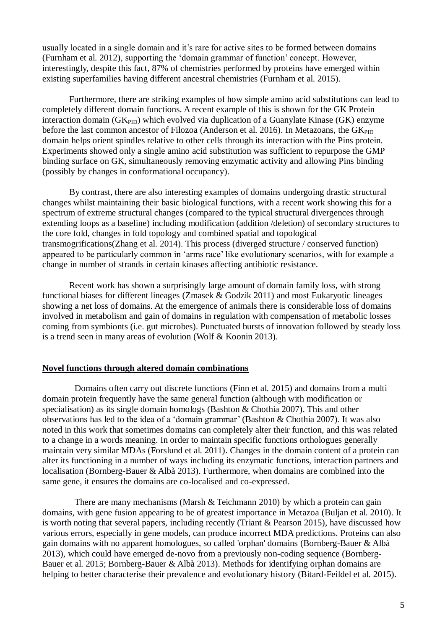usually located in a single domain and it's rare for active sites to be formed between domains (Furnham et al. 2012), supporting the 'domain grammar of function' concept. However, interestingly, despite this fact, 87% of chemistries performed by proteins have emerged within existing superfamilies having different ancestral chemistries (Furnham et al. 2015).

Furthermore, there are striking examples of how simple amino acid substitutions can lead to completely different domain functions. A recent example of this is shown for the GK Protein interaction domain  $(GK_{PID})$  which evolved via duplication of a Guanylate Kinase  $(GK)$  enzyme before the last common ancestor of Filozoa (Anderson et al. 2016). In Metazoans, the  $GK_{\text{PID}}$ domain helps orient spindles relative to other cells through its interaction with the Pins protein. Experiments showed only a single amino acid substitution was sufficient to repurpose the GMP binding surface on GK, simultaneously removing enzymatic activity and allowing Pins binding (possibly by changes in conformational occupancy).

By contrast, there are also interesting examples of domains undergoing drastic structural changes whilst maintaining their basic biological functions, with a recent work showing this for a spectrum of extreme structural changes (compared to the typical structural divergences through extending loops as a baseline) including modification (addition /deletion) of secondary structures to the core fold, changes in fold topology and combined spatial and topological transmogrifications(Zhang et al. 2014). This process (diverged structure / conserved function) appeared to be particularly common in 'arms race' like evolutionary scenarios, with for example a change in number of strands in certain kinases affecting antibiotic resistance.

Recent work has shown a surprisingly large amount of domain family loss, with strong functional biases for different lineages (Zmasek & Godzik 2011) and most Eukaryotic lineages showing a net loss of domains. At the emergence of animals there is considerable loss of domains involved in metabolism and gain of domains in regulation with compensation of metabolic losses coming from symbionts (i.e. gut microbes). Punctuated bursts of innovation followed by steady loss is a trend seen in many areas of evolution (Wolf & Koonin 2013).

## **Novel functions through altered domain combinations**

Domains often carry out discrete functions (Finn et al. 2015) and domains from a multi domain protein frequently have the same general function (although with modification or specialisation) as its single domain homologs (Bashton & Chothia 2007). This and other observations has led to the idea of a 'domain grammar' (Bashton & Chothia 2007). It was also noted in this work that sometimes domains can completely alter their function, and this was related to a change in a words meaning. In order to maintain specific functions orthologues generally maintain very similar MDAs (Forslund et al. 2011). Changes in the domain content of a protein can alter its functioning in a number of ways including its enzymatic functions, interaction partners and localisation (Bornberg-Bauer & Albà 2013). Furthermore, when domains are combined into the same gene, it ensures the domains are co-localised and co-expressed.

There are many mechanisms (Marsh  $\&$  Teichmann 2010) by which a protein can gain domains, with gene fusion appearing to be of greatest importance in Metazoa (Buljan et al. 2010). It is worth noting that several papers, including recently (Triant & Pearson 2015), have discussed how various errors, especially in gene models, can produce incorrect MDA predictions. Proteins can also gain domains with no apparent homologues, so called 'orphan' domains (Bornberg-Bauer & Albà 2013), which could have emerged de-novo from a previously non-coding sequence (Bornberg-Bauer et al. 2015; Bornberg-Bauer & Albà 2013). Methods for identifying orphan domains are helping to better characterise their prevalence and evolutionary history (Bitard-Feildel et al. 2015).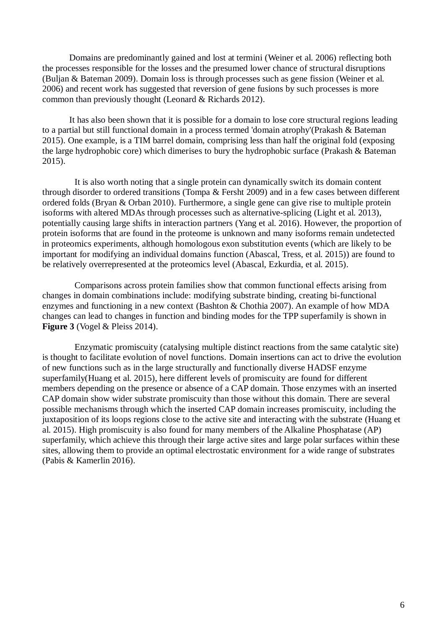Domains are predominantly gained and lost at termini (Weiner et al. 2006) reflecting both the processes responsible for the losses and the presumed lower chance of structural disruptions (Buljan & Bateman 2009). Domain loss is through processes such as gene fission (Weiner et al. 2006) and recent work has suggested that reversion of gene fusions by such processes is more common than previously thought (Leonard & Richards 2012).

It has also been shown that it is possible for a domain to lose core structural regions leading to a partial but still functional domain in a process termed 'domain atrophy'(Prakash & Bateman 2015). One example, is a TIM barrel domain, comprising less than half the original fold (exposing the large hydrophobic core) which dimerises to bury the hydrophobic surface (Prakash & Bateman 2015).

It is also worth noting that a single protein can dynamically switch its domain content through disorder to ordered transitions (Tompa & Fersht 2009) and in a few cases between different ordered folds (Bryan & Orban 2010). Furthermore, a single gene can give rise to multiple protein isoforms with altered MDAs through processes such as alternative-splicing (Light et al. 2013), potentially causing large shifts in interaction partners (Yang et al. 2016). However, the proportion of protein isoforms that are found in the proteome is unknown and many isoforms remain undetected in proteomics experiments, although homologous exon substitution events (which are likely to be important for modifying an individual domains function (Abascal, Tress, et al. 2015)) are found to be relatively overrepresented at the proteomics level (Abascal, Ezkurdia, et al. 2015).

Comparisons across protein families show that common functional effects arising from changes in domain combinations include: modifying substrate binding, creating bi-functional enzymes and functioning in a new context (Bashton & Chothia 2007). An example of how MDA changes can lead to changes in function and binding modes for the TPP superfamily is shown in **Figure 3** (Vogel & Pleiss 2014).

Enzymatic promiscuity (catalysing multiple distinct reactions from the same catalytic site) is thought to facilitate evolution of novel functions. Domain insertions can act to drive the evolution of new functions such as in the large structurally and functionally diverse HADSF enzyme superfamily(Huang et al. 2015), here different levels of promiscuity are found for different members depending on the presence or absence of a CAP domain. Those enzymes with an inserted CAP domain show wider substrate promiscuity than those without this domain. There are several possible mechanisms through which the inserted CAP domain increases promiscuity, including the juxtaposition of its loops regions close to the active site and interacting with the substrate (Huang et al. 2015). High promiscuity is also found for many members of the Alkaline Phosphatase (AP) superfamily, which achieve this through their large active sites and large polar surfaces within these sites, allowing them to provide an optimal electrostatic environment for a wide range of substrates (Pabis & Kamerlin 2016).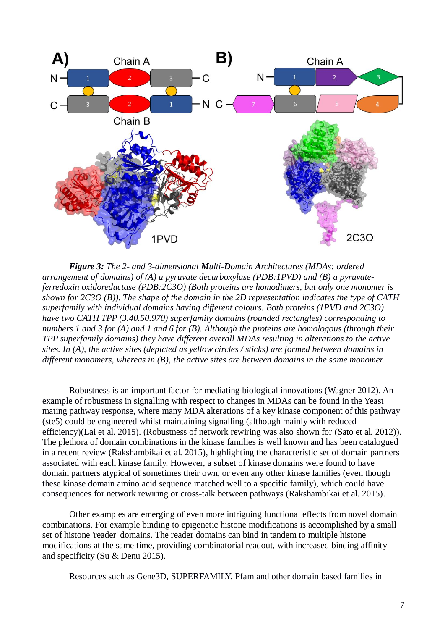

*Figure 3: The 2- and 3-dimensional Multi-Domain Architectures (MDAs: ordered arrangement of domains) of (A) a pyruvate decarboxylase (PDB:1PVD) and (B) a pyruvateferredoxin oxidoreductase (PDB:2C3O) (Both proteins are homodimers, but only one monomer is shown for 2C3O (B)). The shape of the domain in the 2D representation indicates the type of CATH superfamily with individual domains having different colours. Both proteins (1PVD and 2C3O) have two CATH TPP (3.40.50.970) superfamily domains (rounded rectangles) corresponding to numbers 1 and 3 for (A) and 1 and 6 for (B). Although the proteins are homologous (through their TPP superfamily domains) they have different overall MDAs resulting in alterations to the active sites. In (A), the active sites (depicted as yellow circles / sticks) are formed between domains in different monomers, whereas in (B), the active sites are between domains in the same monomer.* 

Robustness is an important factor for mediating biological innovations (Wagner 2012). An example of robustness in signalling with respect to changes in MDAs can be found in the Yeast mating pathway response, where many MDA alterations of a key kinase component of this pathway (ste5) could be engineered whilst maintaining signalling (although mainly with reduced efficiency)(Lai et al. 2015). (Robustness of network rewiring was also shown for (Sato et al. 2012)). The plethora of domain combinations in the kinase families is well known and has been catalogued in a recent review (Rakshambikai et al. 2015), highlighting the characteristic set of domain partners associated with each kinase family. However, a subset of kinase domains were found to have domain partners atypical of sometimes their own, or even any other kinase families (even though these kinase domain amino acid sequence matched well to a specific family), which could have consequences for network rewiring or cross-talk between pathways (Rakshambikai et al. 2015).

Other examples are emerging of even more intriguing functional effects from novel domain combinations. For example binding to epigenetic histone modifications is accomplished by a small set of histone 'reader' domains. The reader domains can bind in tandem to multiple histone modifications at the same time, providing combinatorial readout, with increased binding affinity and specificity (Su & Denu 2015).

Resources such as Gene3D, SUPERFAMILY, Pfam and other domain based families in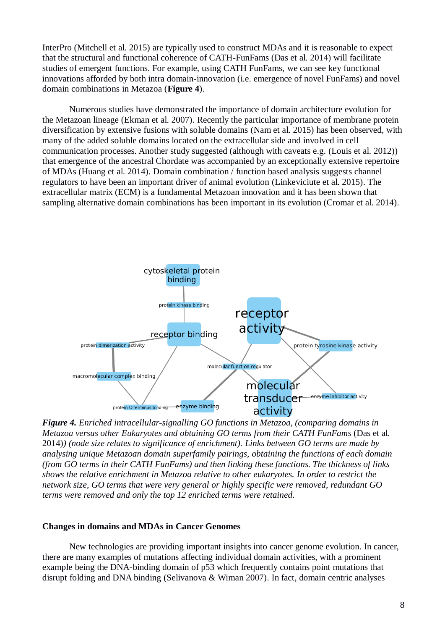InterPro (Mitchell et al. 2015) are typically used to construct MDAs and it is reasonable to expect that the structural and functional coherence of CATH-FunFams (Das et al. 2014) will facilitate studies of emergent functions. For example, using CATH FunFams, we can see key functional innovations afforded by both intra domain-innovation (i.e. emergence of novel FunFams) and novel domain combinations in Metazoa (**Figure 4**).

Numerous studies have demonstrated the importance of domain architecture evolution for the Metazoan lineage (Ekman et al. 2007). Recently the particular importance of membrane protein diversification by extensive fusions with soluble domains (Nam et al. 2015) has been observed, with many of the added soluble domains located on the extracellular side and involved in cell communication processes. Another study suggested (although with caveats e.g. (Louis et al. 2012)) that emergence of the ancestral Chordate was accompanied by an exceptionally extensive repertoire of MDAs (Huang et al. 2014). Domain combination / function based analysis suggests channel regulators to have been an important driver of animal evolution (Linkeviciute et al. 2015). The extracellular matrix (ECM) is a fundamental Metazoan innovation and it has been shown that sampling alternative domain combinations has been important in its evolution (Cromar et al. 2014).



*Figure 4. Enriched intracellular-signalling GO functions in Metazoa, (comparing domains in Metazoa versus other Eukaryotes and obtaining GO terms from their CATH FunFams* (Das et al. 2014)*) (node size relates to significance of enrichment). Links between GO terms are made by analysing unique Metazoan domain superfamily pairings, obtaining the functions of each domain (from GO terms in their CATH FunFams) and then linking these functions. The thickness of links shows the relative enrichment in Metazoa relative to other eukaryotes. In order to restrict the network size, GO terms that were very general or highly specific were removed, redundant GO terms were removed and only the top 12 enriched terms were retained.*

# **Changes in domains and MDAs in Cancer Genomes**

New technologies are providing important insights into cancer genome evolution. In cancer, there are many examples of mutations affecting individual domain activities, with a prominent example being the DNA-binding domain of p53 which frequently contains point mutations that disrupt folding and DNA binding (Selivanova & Wiman 2007). In fact, domain centric analyses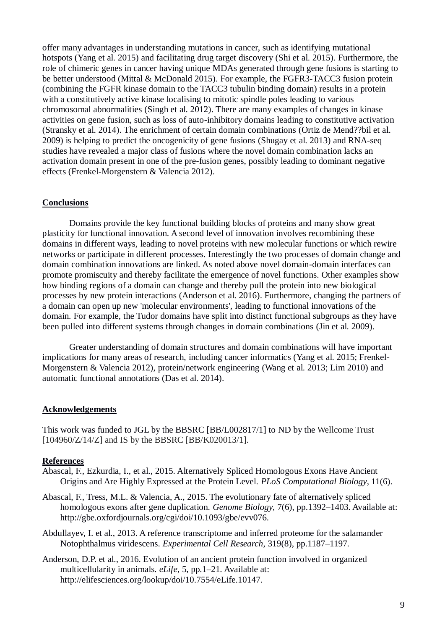offer many advantages in understanding mutations in cancer, such as identifying mutational hotspots (Yang et al. 2015) and facilitating drug target discovery (Shi et al. 2015). Furthermore, the role of chimeric genes in cancer having unique MDAs generated through gene fusions is starting to be better understood (Mittal & McDonald 2015). For example, the FGFR3-TACC3 fusion protein (combining the FGFR kinase domain to the TACC3 tubulin binding domain) results in a protein with a constitutively active kinase localising to mitotic spindle poles leading to various chromosomal abnormalities (Singh et al. 2012). There are many examples of changes in kinase activities on gene fusion, such as loss of auto-inhibitory domains leading to constitutive activation (Stransky et al. 2014). The enrichment of certain domain combinations (Ortiz de Mend??bil et al. 2009) is helping to predict the oncogenicity of gene fusions (Shugay et al. 2013) and RNA-seq studies have revealed a major class of fusions where the novel domain combination lacks an activation domain present in one of the pre-fusion genes, possibly leading to dominant negative effects (Frenkel-Morgenstern & Valencia 2012).

# **Conclusions**

Domains provide the key functional building blocks of proteins and many show great plasticity for functional innovation. A second level of innovation involves recombining these domains in different ways, leading to novel proteins with new molecular functions or which rewire networks or participate in different processes. Interestingly the two processes of domain change and domain combination innovations are linked. As noted above novel domain-domain interfaces can promote promiscuity and thereby facilitate the emergence of novel functions. Other examples show how binding regions of a domain can change and thereby pull the protein into new biological processes by new protein interactions (Anderson et al. 2016). Furthermore, changing the partners of a domain can open up new 'molecular environments', leading to functional innovations of the domain. For example, the Tudor domains have split into distinct functional subgroups as they have been pulled into different systems through changes in domain combinations (Jin et al. 2009).

Greater understanding of domain structures and domain combinations will have important implications for many areas of research, including cancer informatics (Yang et al. 2015; Frenkel-Morgenstern & Valencia 2012), protein/network engineering (Wang et al. 2013; Lim 2010) and automatic functional annotations (Das et al. 2014).

# **Acknowledgements**

This work was funded to JGL by the BBSRC [BB/L002817/1] to ND by the Wellcome Trust [104960/Z/14/Z] and IS by the BBSRC [BB/K020013/1].

# **References**

- Abascal, F., Ezkurdia, I., et al., 2015. Alternatively Spliced Homologous Exons Have Ancient Origins and Are Highly Expressed at the Protein Level. *PLoS Computational Biology*, 11(6).
- Abascal, F., Tress, M.L. & Valencia, A., 2015. The evolutionary fate of alternatively spliced homologous exons after gene duplication. *Genome Biology*, 7(6), pp.1392–1403. Available at: http://gbe.oxfordjournals.org/cgi/doi/10.1093/gbe/evv076.
- Abdullayev, I. et al., 2013. A reference transcriptome and inferred proteome for the salamander Notophthalmus viridescens. *Experimental Cell Research*, 319(8), pp.1187–1197.
- Anderson, D.P. et al., 2016. Evolution of an ancient protein function involved in organized multicellularity in animals. *eLife*, 5, pp.1–21. Available at: http://elifesciences.org/lookup/doi/10.7554/eLife.10147.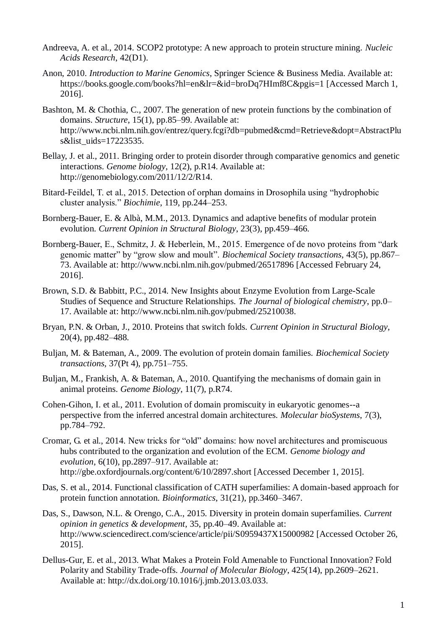- Andreeva, A. et al., 2014. SCOP2 prototype: A new approach to protein structure mining. *Nucleic Acids Research*, 42(D1).
- Anon, 2010. *Introduction to Marine Genomics*, Springer Science & Business Media. Available at: https://books.google.com/books?hl=en&lr=&id=broDq7HImf8C&pgis=1 [Accessed March 1, 2016].
- Bashton, M. & Chothia, C., 2007. The generation of new protein functions by the combination of domains. *Structure*, 15(1), pp.85–99. Available at: http://www.ncbi.nlm.nih.gov/entrez/query.fcgi?db=pubmed&cmd=Retrieve&dopt=AbstractPlu s&list\_uids=17223535.
- Bellay, J. et al., 2011. Bringing order to protein disorder through comparative genomics and genetic interactions. *Genome biology*, 12(2), p.R14. Available at: http://genomebiology.com/2011/12/2/R14.
- Bitard-Feildel, T. et al., 2015. Detection of orphan domains in Drosophila using "hydrophobic cluster analysis." *Biochimie*, 119, pp.244–253.
- Bornberg-Bauer, E. & Albà, M.M., 2013. Dynamics and adaptive benefits of modular protein evolution. *Current Opinion in Structural Biology*, 23(3), pp.459–466.
- Bornberg-Bauer, E., Schmitz, J. & Heberlein, M., 2015. Emergence of de novo proteins from "dark genomic matter" by "grow slow and moult". *Biochemical Society transactions*, 43(5), pp.867– 73. Available at: http://www.ncbi.nlm.nih.gov/pubmed/26517896 [Accessed February 24, 2016].
- Brown, S.D. & Babbitt, P.C., 2014. New Insights about Enzyme Evolution from Large-Scale Studies of Sequence and Structure Relationships. *The Journal of biological chemistry*, pp.0– 17. Available at: http://www.ncbi.nlm.nih.gov/pubmed/25210038.
- Bryan, P.N. & Orban, J., 2010. Proteins that switch folds. *Current Opinion in Structural Biology*, 20(4), pp.482–488.
- Buljan, M. & Bateman, A., 2009. The evolution of protein domain families. *Biochemical Society transactions*, 37(Pt 4), pp.751–755.
- Buljan, M., Frankish, A. & Bateman, A., 2010. Quantifying the mechanisms of domain gain in animal proteins. *Genome Biology*, 11(7), p.R74.
- Cohen-Gihon, I. et al., 2011. Evolution of domain promiscuity in eukaryotic genomes--a perspective from the inferred ancestral domain architectures. *Molecular bioSystems*, 7(3), pp.784–792.
- Cromar, G. et al., 2014. New tricks for "old" domains: how novel architectures and promiscuous hubs contributed to the organization and evolution of the ECM. *Genome biology and evolution*, 6(10), pp.2897–917. Available at: http://gbe.oxfordjournals.org/content/6/10/2897.short [Accessed December 1, 2015].
- Das, S. et al., 2014. Functional classification of CATH superfamilies: A domain-based approach for protein function annotation. *Bioinformatics*, 31(21), pp.3460–3467.
- Das, S., Dawson, N.L. & Orengo, C.A., 2015. Diversity in protein domain superfamilies. *Current opinion in genetics & development*, 35, pp.40–49. Available at: http://www.sciencedirect.com/science/article/pii/S0959437X15000982 [Accessed October 26, 2015].
- Dellus-Gur, E. et al., 2013. What Makes a Protein Fold Amenable to Functional Innovation? Fold Polarity and Stability Trade-offs. *Journal of Molecular Biology*, 425(14), pp.2609–2621. Available at: http://dx.doi.org/10.1016/j.jmb.2013.03.033.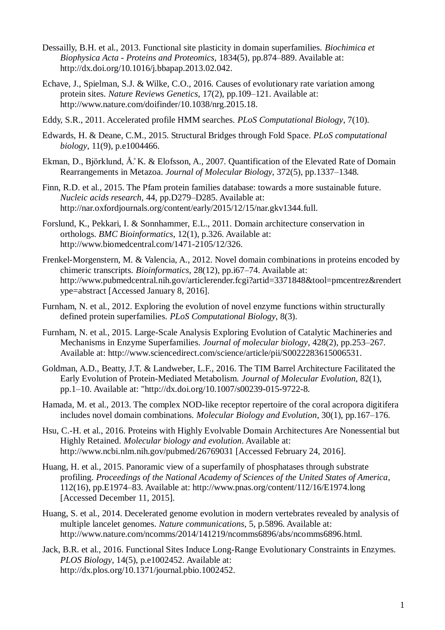- Dessailly, B.H. et al., 2013. Functional site plasticity in domain superfamilies. *Biochimica et Biophysica Acta - Proteins and Proteomics*, 1834(5), pp.874–889. Available at: http://dx.doi.org/10.1016/j.bbapap.2013.02.042.
- Echave, J., Spielman, S.J. & Wilke, C.O., 2016. Causes of evolutionary rate variation among protein sites. *Nature Reviews Genetics*, 17(2), pp.109–121. Available at: http://www.nature.com/doifinder/10.1038/nrg.2015.18.
- Eddy, S.R., 2011. Accelerated profile HMM searches. *PLoS Computational Biology*, 7(10).
- Edwards, H. & Deane, C.M., 2015. Structural Bridges through Fold Space. *PLoS computational biology*, 11(9), p.e1004466.
- Ekman, D., Björklund, Å.̊K. & Elofsson, A., 2007. Quantification of the Elevated Rate of Domain Rearrangements in Metazoa. *Journal of Molecular Biology*, 372(5), pp.1337–1348.
- Finn, R.D. et al., 2015. The Pfam protein families database: towards a more sustainable future. *Nucleic acids research*, 44, pp.D279–D285. Available at: http://nar.oxfordjournals.org/content/early/2015/12/15/nar.gkv1344.full.
- Forslund, K., Pekkari, I. & Sonnhammer, E.L., 2011. Domain architecture conservation in orthologs. *BMC Bioinformatics*, 12(1), p.326. Available at: http://www.biomedcentral.com/1471-2105/12/326.
- Frenkel-Morgenstern, M. & Valencia, A., 2012. Novel domain combinations in proteins encoded by chimeric transcripts. *Bioinformatics*, 28(12), pp.i67–74. Available at: http://www.pubmedcentral.nih.gov/articlerender.fcgi?artid=3371848&tool=pmcentrez&rendert ype=abstract [Accessed January 8, 2016].
- Furnham, N. et al., 2012. Exploring the evolution of novel enzyme functions within structurally defined protein superfamilies. *PLoS Computational Biology*, 8(3).
- Furnham, N. et al., 2015. Large-Scale Analysis Exploring Evolution of Catalytic Machineries and Mechanisms in Enzyme Superfamilies. *Journal of molecular biology*, 428(2), pp.253–267. Available at: http://www.sciencedirect.com/science/article/pii/S0022283615006531.
- Goldman, A.D., Beatty, J.T. & Landweber, L.F., 2016. The TIM Barrel Architecture Facilitated the Early Evolution of Protein-Mediated Metabolism. *Journal of Molecular Evolution*, 82(1), pp.1–10. Available at: "http://dx.doi.org/10.1007/s00239-015-9722-8.
- Hamada, M. et al., 2013. The complex NOD-like receptor repertoire of the coral acropora digitifera includes novel domain combinations. *Molecular Biology and Evolution*, 30(1), pp.167–176.
- Hsu, C.-H. et al., 2016. Proteins with Highly Evolvable Domain Architectures Are Nonessential but Highly Retained. *Molecular biology and evolution*. Available at: http://www.ncbi.nlm.nih.gov/pubmed/26769031 [Accessed February 24, 2016].
- Huang, H. et al., 2015. Panoramic view of a superfamily of phosphatases through substrate profiling. *Proceedings of the National Academy of Sciences of the United States of America*, 112(16), pp.E1974–83. Available at: http://www.pnas.org/content/112/16/E1974.long [Accessed December 11, 2015].
- Huang, S. et al., 2014. Decelerated genome evolution in modern vertebrates revealed by analysis of multiple lancelet genomes. *Nature communications*, 5, p.5896. Available at: http://www.nature.com/ncomms/2014/141219/ncomms6896/abs/ncomms6896.html.
- Jack, B.R. et al., 2016. Functional Sites Induce Long-Range Evolutionary Constraints in Enzymes. *PLOS Biology*, 14(5), p.e1002452. Available at: http://dx.plos.org/10.1371/journal.pbio.1002452.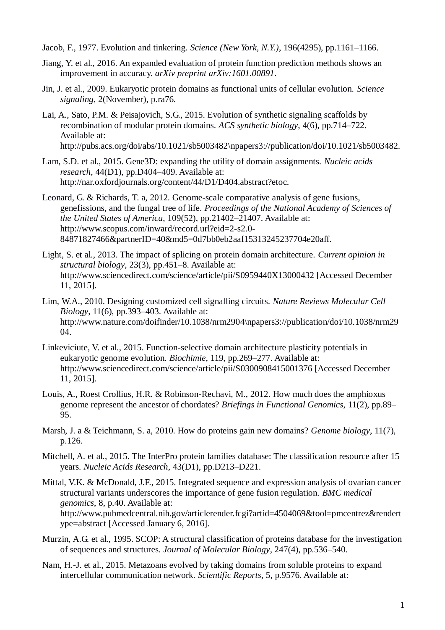- Jacob, F., 1977. Evolution and tinkering. *Science (New York, N.Y.)*, 196(4295), pp.1161–1166.
- Jiang, Y. et al., 2016. An expanded evaluation of protein function prediction methods shows an improvement in accuracy. *arXiv preprint arXiv:1601.00891*.
- Jin, J. et al., 2009. Eukaryotic protein domains as functional units of cellular evolution. *Science signaling*, 2(November), p.ra76.
- Lai, A., Sato, P.M. & Peisajovich, S.G., 2015. Evolution of synthetic signaling scaffolds by recombination of modular protein domains. *ACS synthetic biology*, 4(6), pp.714–722. Available at: http://pubs.acs.org/doi/abs/10.1021/sb5003482\npapers3://publication/doi/10.1021/sb5003482.
- Lam, S.D. et al., 2015. Gene3D: expanding the utility of domain assignments. *Nucleic acids research*, 44(D1), pp.D404–409. Available at: http://nar.oxfordjournals.org/content/44/D1/D404.abstract?etoc.
- Leonard, G. & Richards, T. a, 2012. Genome-scale comparative analysis of gene fusions, genefissions, and the fungal tree of life. *Proceedings of the National Academy of Sciences of the United States of America*, 109(52), pp.21402–21407. Available at: http://www.scopus.com/inward/record.url?eid=2-s2.0- 84871827466&partnerID=40&md5=0d7bb0eb2aaf15313245237704e20aff.
- Light, S. et al., 2013. The impact of splicing on protein domain architecture. *Current opinion in structural biology*, 23(3), pp.451–8. Available at: http://www.sciencedirect.com/science/article/pii/S0959440X13000432 [Accessed December 11, 2015].
- Lim, W.A., 2010. Designing customized cell signalling circuits. *Nature Reviews Molecular Cell Biology*, 11(6), pp.393–403. Available at: http://www.nature.com/doifinder/10.1038/nrm2904\npapers3://publication/doi/10.1038/nrm29 04.
- Linkeviciute, V. et al., 2015. Function-selective domain architecture plasticity potentials in eukaryotic genome evolution. *Biochimie*, 119, pp.269–277. Available at: http://www.sciencedirect.com/science/article/pii/S0300908415001376 [Accessed December 11, 2015].
- Louis, A., Roest Crollius, H.R. & Robinson-Rechavi, M., 2012. How much does the amphioxus genome represent the ancestor of chordates? *Briefings in Functional Genomics*, 11(2), pp.89– 95.
- Marsh, J. a & Teichmann, S. a, 2010. How do proteins gain new domains? *Genome biology*, 11(7), p.126.
- Mitchell, A. et al., 2015. The InterPro protein families database: The classification resource after 15 years. *Nucleic Acids Research*, 43(D1), pp.D213–D221.
- Mittal, V.K. & McDonald, J.F., 2015. Integrated sequence and expression analysis of ovarian cancer structural variants underscores the importance of gene fusion regulation. *BMC medical genomics*, 8, p.40. Available at: http://www.pubmedcentral.nih.gov/articlerender.fcgi?artid=4504069&tool=pmcentrez&rendert ype=abstract [Accessed January 6, 2016].
- Murzin, A.G. et al., 1995. SCOP: A structural classification of proteins database for the investigation of sequences and structures. *Journal of Molecular Biology*, 247(4), pp.536–540.
- Nam, H.-J. et al., 2015. Metazoans evolved by taking domains from soluble proteins to expand intercellular communication network. *Scientific Reports*, 5, p.9576. Available at: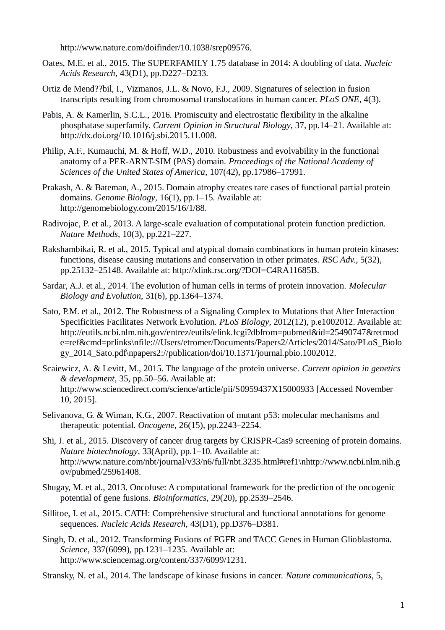http://www.nature.com/doifinder/10.1038/srep09576.

- Oates, M.E. et al., 2015. The SUPERFAMILY 1.75 database in 2014: A doubling of data. *Nucleic Acids Research*, 43(D1), pp.D227–D233.
- Ortiz de Mend??bil, I., Vizmanos, J.L. & Novo, F.J., 2009. Signatures of selection in fusion transcripts resulting from chromosomal translocations in human cancer. *PLoS ONE*, 4(3).
- Pabis, A. & Kamerlin, S.C.L., 2016. Promiscuity and electrostatic flexibility in the alkaline phosphatase superfamily. *Current Opinion in Structural Biology*, 37, pp.14–21. Available at: http://dx.doi.org/10.1016/j.sbi.2015.11.008.
- Philip, A.F., Kumauchi, M. & Hoff, W.D., 2010. Robustness and evolvability in the functional anatomy of a PER-ARNT-SIM (PAS) domain. *Proceedings of the National Academy of Sciences of the United States of America*, 107(42), pp.17986–17991.
- Prakash, A. & Bateman, A., 2015. Domain atrophy creates rare cases of functional partial protein domains. *Genome Biology*, 16(1), pp.1–15. Available at: http://genomebiology.com/2015/16/1/88.
- Radivojac, P. et al., 2013. A large-scale evaluation of computational protein function prediction. *Nature Methods*, 10(3), pp.221–227.
- Rakshambikai, R. et al., 2015. Typical and atypical domain combinations in human protein kinases: functions, disease causing mutations and conservation in other primates. *RSC Adv.*, 5(32), pp.25132–25148. Available at: http://xlink.rsc.org/?DOI=C4RA11685B.
- Sardar, A.J. et al., 2014. The evolution of human cells in terms of protein innovation. *Molecular Biology and Evolution*, 31(6), pp.1364–1374.
- Sato, P.M. et al., 2012. The Robustness of a Signaling Complex to Mutations that Alter Interaction Specificities Facilitates Network Evolution. *PLoS Biology*, 2012(12), p.e1002012. Available at: http://eutils.ncbi.nlm.nih.gov/entrez/eutils/elink.fcgi?dbfrom=pubmed&id=25490747&retmod e=ref&cmd=prlinks\nfile:///Users/etromer/Documents/Papers2/Articles/2014/Sato/PLoS\_Biolo gy\_2014\_Sato.pdf\npapers2://publication/doi/10.1371/journal.pbio.1002012.
- Scaiewicz, A. & Levitt, M., 2015. The language of the protein universe. *Current opinion in genetics & development*, 35, pp.50–56. Available at: http://www.sciencedirect.com/science/article/pii/S0959437X15000933 [Accessed November 10, 2015].
- Selivanova, G. & Wiman, K.G., 2007. Reactivation of mutant p53: molecular mechanisms and therapeutic potential. *Oncogene*, 26(15), pp.2243–2254.
- Shi, J. et al., 2015. Discovery of cancer drug targets by CRISPR-Cas9 screening of protein domains. *Nature biotechnology*, 33(April), pp.1–10. Available at: http://www.nature.com/nbt/journal/v33/n6/full/nbt.3235.html#ref1\nhttp://www.ncbi.nlm.nih.g ov/pubmed/25961408.
- Shugay, M. et al., 2013. Oncofuse: A computational framework for the prediction of the oncogenic potential of gene fusions. *Bioinformatics*, 29(20), pp.2539–2546.
- Sillitoe, I. et al., 2015. CATH: Comprehensive structural and functional annotations for genome sequences. *Nucleic Acids Research*, 43(D1), pp.D376–D381.
- Singh, D. et al., 2012. Transforming Fusions of FGFR and TACC Genes in Human Glioblastoma. *Science*, 337(6099), pp.1231–1235. Available at: http://www.sciencemag.org/content/337/6099/1231.
- Stransky, N. et al., 2014. The landscape of kinase fusions in cancer. *Nature communications*, 5,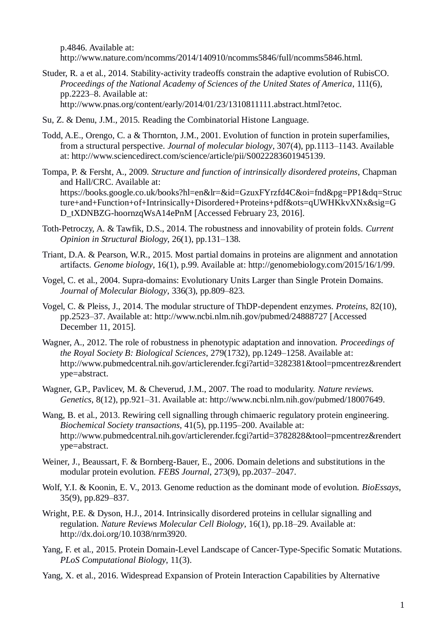p.4846. Available at: http://www.nature.com/ncomms/2014/140910/ncomms5846/full/ncomms5846.html.

Studer, R. a et al., 2014. Stability-activity tradeoffs constrain the adaptive evolution of RubisCO. *Proceedings of the National Academy of Sciences of the United States of America*, 111(6), pp.2223–8. Available at:

http://www.pnas.org/content/early/2014/01/23/1310811111.abstract.html?etoc.

- Su, Z. & Denu, J.M., 2015. Reading the Combinatorial Histone Language.
- Todd, A.E., Orengo, C. a & Thornton, J.M., 2001. Evolution of function in protein superfamilies, from a structural perspective. *Journal of molecular biology*, 307(4), pp.1113–1143. Available at: http://www.sciencedirect.com/science/article/pii/S0022283601945139.
- Tompa, P. & Fersht, A., 2009. *Structure and function of intrinsically disordered proteins*, Chapman and Hall/CRC. Available at: https://books.google.co.uk/books?hl=en&lr=&id=GzuxFYrzfd4C&oi=fnd&pg=PP1&dq=Struc ture+and+Function+of+Intrinsically+Disordered+Proteins+pdf&ots=qUWHKkvXNx&sig=G D\_tXDNBZG-hoornzqWsA14ePnM [Accessed February 23, 2016].
- Toth-Petroczy, A. & Tawfik, D.S., 2014. The robustness and innovability of protein folds. *Current Opinion in Structural Biology*, 26(1), pp.131–138.
- Triant, D.A. & Pearson, W.R., 2015. Most partial domains in proteins are alignment and annotation artifacts. *Genome biology*, 16(1), p.99. Available at: http://genomebiology.com/2015/16/1/99.
- Vogel, C. et al., 2004. Supra-domains: Evolutionary Units Larger than Single Protein Domains. *Journal of Molecular Biology*, 336(3), pp.809–823.
- Vogel, C. & Pleiss, J., 2014. The modular structure of ThDP-dependent enzymes. *Proteins*, 82(10), pp.2523–37. Available at: http://www.ncbi.nlm.nih.gov/pubmed/24888727 [Accessed December 11, 2015].
- Wagner, A., 2012. The role of robustness in phenotypic adaptation and innovation. *Proceedings of the Royal Society B: Biological Sciences*, 279(1732), pp.1249–1258. Available at: http://www.pubmedcentral.nih.gov/articlerender.fcgi?artid=3282381&tool=pmcentrez&rendert ype=abstract.
- Wagner, G.P., Pavlicev, M. & Cheverud, J.M., 2007. The road to modularity. *Nature reviews. Genetics*, 8(12), pp.921–31. Available at: http://www.ncbi.nlm.nih.gov/pubmed/18007649.
- Wang, B. et al., 2013. Rewiring cell signalling through chimaeric regulatory protein engineering. *Biochemical Society transactions*, 41(5), pp.1195–200. Available at: http://www.pubmedcentral.nih.gov/articlerender.fcgi?artid=3782828&tool=pmcentrez&rendert ype=abstract.
- Weiner, J., Beaussart, F. & Bornberg-Bauer, E., 2006. Domain deletions and substitutions in the modular protein evolution. *FEBS Journal*, 273(9), pp.2037–2047.
- Wolf, Y.I. & Koonin, E. V., 2013. Genome reduction as the dominant mode of evolution. *BioEssays*, 35(9), pp.829–837.
- Wright, P.E. & Dyson, H.J., 2014. Intrinsically disordered proteins in cellular signalling and regulation. *Nature Reviews Molecular Cell Biology*, 16(1), pp.18–29. Available at: http://dx.doi.org/10.1038/nrm3920.
- Yang, F. et al., 2015. Protein Domain-Level Landscape of Cancer-Type-Specific Somatic Mutations. *PLoS Computational Biology*, 11(3).
- Yang, X. et al., 2016. Widespread Expansion of Protein Interaction Capabilities by Alternative